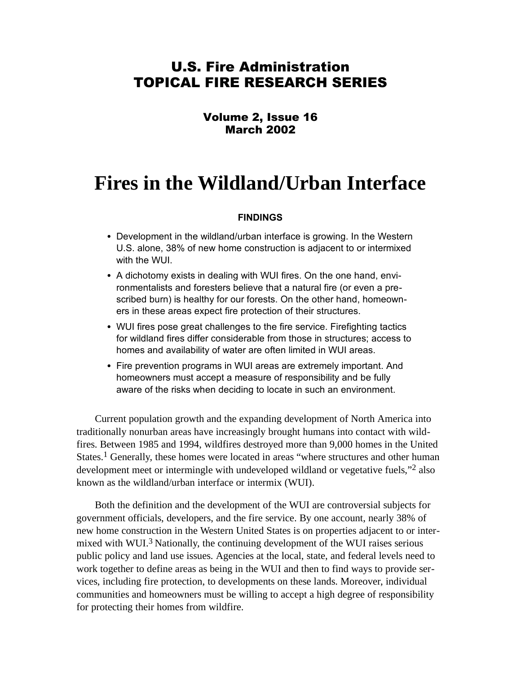# U.S. Fire Administration TOPICAL FIRE RESEARCH SERIES

## Volume 2, Issue 16 March 2002

# **Fires in the Wildland/Urban Interface**

#### **FINDINGS**

- Development in the wildland/urban interface is growing. In the Western U.S. alone, 38% of new home construction is adjacent to or intermixed with the WUI.
- A dichotomy exists in dealing with WUI fires. On the one hand, environmentalists and foresters believe that a natural fire (or even a prescribed burn) is healthy for our forests. On the other hand, homeowners in these areas expect fire protection of their structures.
- WUI fires pose great challenges to the fire service. Firefighting tactics for wildland fires differ considerable from those in structures; access to homes and availability of water are often limited in WUI areas.
- Fire prevention programs in WUI areas are extremely important. And homeowners must accept a measure of responsibility and be fully aware of the risks when deciding to locate in such an environment.

Current population growth and the expanding development of North America into traditionally nonurban areas have increasingly brought humans into contact with wildfires. Between 1985 and 1994, wildfires destroyed more than 9,000 homes in the United States.<sup>1</sup> Generally, these homes were located in areas "where structures and other human development meet or intermingle with undeveloped wildland or vegetative fuels,"<sup>2</sup> also known as the wildland/urban interface or intermix (WUI).

Both the definition and the development of the WUI are controversial subjects for government officials, developers, and the fire service. By one account, nearly 38% of new home construction in the Western United States is on properties adjacent to or intermixed with WUI.3 Nationally, the continuing development of the WUI raises serious public policy and land use issues. Agencies at the local, state, and federal levels need to work together to define areas as being in the WUI and then to find ways to provide services, including fire protection, to developments on these lands. Moreover, individual communities and homeowners must be willing to accept a high degree of responsibility for protecting their homes from wildfire.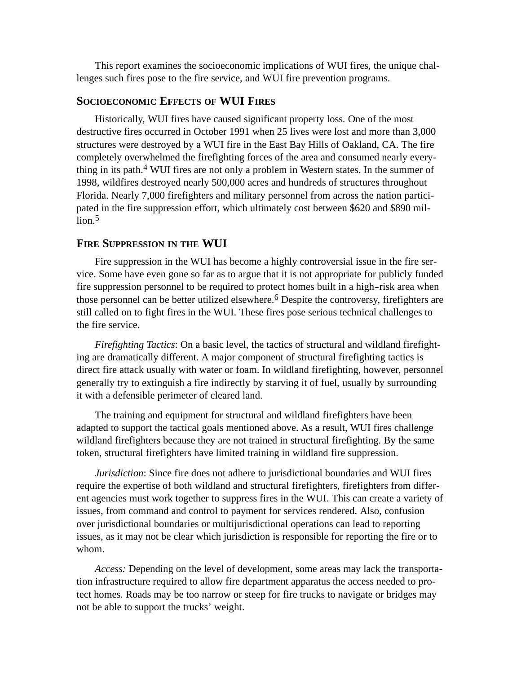This report examines the socioeconomic implications of WUI fires, the unique challenges such fires pose to the fire service, and WUI fire prevention programs.

#### **SOCIOECONOMIC EFFECTS OF WUI FIRES**

Historically, WUI fires have caused significant property loss. One of the most destructive fires occurred in October 1991 when 25 lives were lost and more than 3,000 structures were destroyed by a WUI fire in the East Bay Hills of Oakland, CA. The fire completely overwhelmed the firefighting forces of the area and consumed nearly everything in its path.<sup>4</sup> WUI fires are not only a problem in Western states. In the summer of 1998, wildfires destroyed nearly 500,000 acres and hundreds of structures throughout Florida. Nearly 7,000 firefighters and military personnel from across the nation participated in the fire suppression effort, which ultimately cost between \$620 and \$890 mil- $\ln 5$ 

### **FIRE SUPPRESSION IN THE WUI**

fire suppression personnel to be required to protect homes built in a high-risk area when Fire suppression in the WUI has become a highly controversial issue in the fire service. Some have even gone so far as to argue that it is not appropriate for publicly funded those personnel can be better utilized elsewhere.<sup>6</sup> Despite the controversy, firefighters are still called on to fight fires in the WUI. These fires pose serious technical challenges to the fire service.

*Firefighting Tactics*: On a basic level, the tactics of structural and wildland firefighting are dramatically different. A major component of structural firefighting tactics is direct fire attack usually with water or foam. In wildland firefighting, however, personnel generally try to extinguish a fire indirectly by starving it of fuel, usually by surrounding it with a defensible perimeter of cleared land.

The training and equipment for structural and wildland firefighters have been adapted to support the tactical goals mentioned above. As a result, WUI fires challenge wildland firefighters because they are not trained in structural firefighting. By the same token, structural firefighters have limited training in wildland fire suppression.

*Jurisdiction*: Since fire does not adhere to jurisdictional boundaries and WUI fires require the expertise of both wildland and structural firefighters, firefighters from different agencies must work together to suppress fires in the WUI. This can create a variety of issues, from command and control to payment for services rendered. Also, confusion over jurisdictional boundaries or multijurisdictional operations can lead to reporting issues, as it may not be clear which jurisdiction is responsible for reporting the fire or to whom.

*Access:* Depending on the level of development, some areas may lack the transportation infrastructure required to allow fire department apparatus the access needed to protect homes. Roads may be too narrow or steep for fire trucks to navigate or bridges may not be able to support the trucks' weight.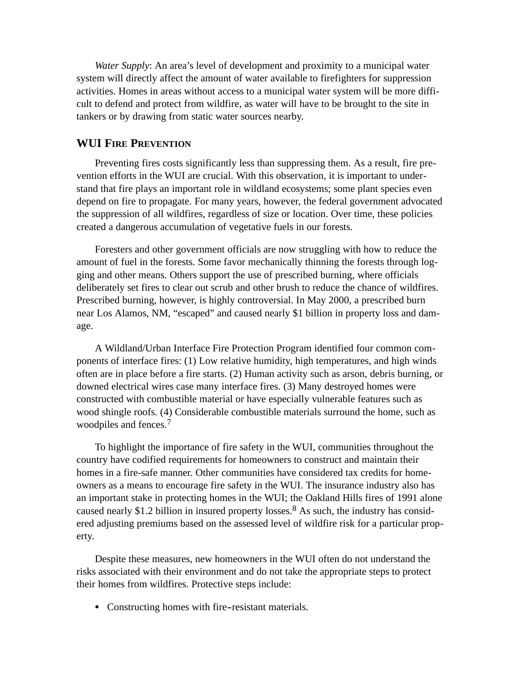*Water Supply*: An area's level of development and proximity to a municipal water system will directly affect the amount of water available to firefighters for suppression activities. Homes in areas without access to a municipal water system will be more difficult to defend and protect from wildfire, as water will have to be brought to the site in tankers or by drawing from static water sources nearby.

#### **WUI FIRE PREVENTION**

Preventing fires costs significantly less than suppressing them. As a result, fire prevention efforts in the WUI are crucial. With this observation, it is important to understand that fire plays an important role in wildland ecosystems; some plant species even depend on fire to propagate. For many years, however, the federal government advocated the suppression of all wildfires, regardless of size or location. Over time, these policies created a dangerous accumulation of vegetative fuels in our forests.

Foresters and other government officials are now struggling with how to reduce the amount of fuel in the forests. Some favor mechanically thinning the forests through logging and other means. Others support the use of prescribed burning, where officials deliberately set fires to clear out scrub and other brush to reduce the chance of wildfires. Prescribed burning, however, is highly controversial. In May 2000, a prescribed burn near Los Alamos, NM, "escaped" and caused nearly \$1 billion in property loss and damage.

A Wildland/Urban Interface Fire Protection Program identified four common components of interface fires: (1) Low relative humidity, high temperatures, and high winds often are in place before a fire starts. (2) Human activity such as arson, debris burning, or downed electrical wires case many interface fires. (3) Many destroyed homes were constructed with combustible material or have especially vulnerable features such as wood shingle roofs. (4) Considerable combustible materials surround the home, such as woodpiles and fences.<sup>7</sup>

To highlight the importance of fire safety in the WUI, communities throughout the country have codified requirements for homeowners to construct and maintain their homes in a fire-safe manner. Other communities have considered tax credits for homeowners as a means to encourage fire safety in the WUI. The insurance industry also has an important stake in protecting homes in the WUI; the Oakland Hills fires of 1991 alone caused nearly \$1.2 billion in insured property losses. 8 As such, the industry has considered adjusting premiums based on the assessed level of wildfire risk for a particular property.

Despite these measures, new homeowners in the WUI often do not understand the risks associated with their environment and do not take the appropriate steps to protect their homes from wildfires. Protective steps include:

• Constructing homes with fire-resistant materials.